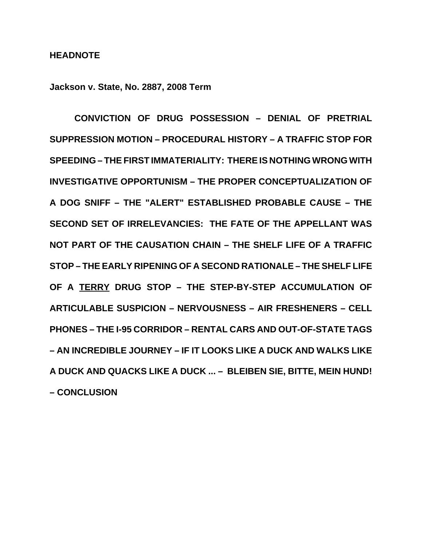#### **HEADNOTE**

**Jackson v. State, No. 2887, 2008 Term**

**CONVICTION OF DRUG POSSESSION – DENIAL OF PRETRIAL SUPPRESSION MOTION – PROCEDURAL HISTORY – A TRAFFIC STOP FOR SPEEDING – THE FIRST IMMATERIALITY: THERE IS NOTHING WRONG WITH INVESTIGATIVE OPPORTUNISM – THE PROPER CONCEPTUALIZATION OF A DOG SNIFF – THE "ALERT" ESTABLISHED PROBABLE CAUSE – THE SECOND SET OF IRRELEVANCIES: THE FATE OF THE APPELLANT WAS NOT PART OF THE CAUSATION CHAIN – THE SHELF LIFE OF A TRAFFIC STOP – THE EARLY RIPENING OF A SECOND RATIONALE – THE SHELF LIFE OF A TERRY DRUG STOP – THE STEP-BY-STEP ACCUMULATION OF ARTICULABLE SUSPICION – NERVOUSNESS – AIR FRESHENERS – CELL PHONES – THE I-95 CORRIDOR – RENTAL CARS AND OUT-OF-STATE TAGS – AN INCREDIBLE JOURNEY – IF IT LOOKS LIKE A DUCK AND WALKS LIKE A DUCK AND QUACKS LIKE A DUCK ... – BLEIBEN SIE, BITTE, MEIN HUND! – CONCLUSION**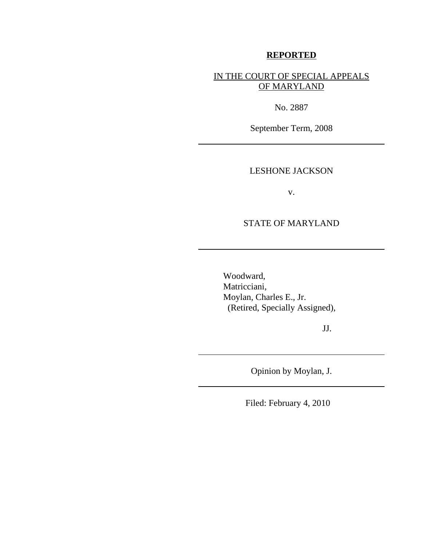### **REPORTED**

IN THE COURT OF SPECIAL APPEALS OF MARYLAND

No. 2887

September Term, 2008

### LESHONE JACKSON

v.

### STATE OF MARYLAND

Woodward, Matricciani, Moylan, Charles E., Jr. (Retired, Specially Assigned),

JJ.

Opinion by Moylan, J.

Filed: February 4, 2010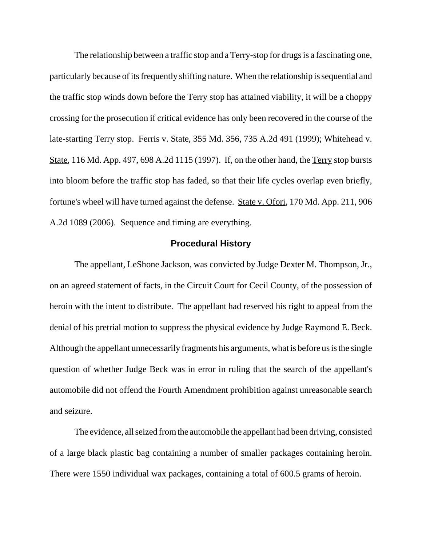The relationship between a traffic stop and a Terry-stop for drugs is a fascinating one, particularly because of its frequently shifting nature. When the relationship is sequential and the traffic stop winds down before the Terry stop has attained viability, it will be a choppy crossing for the prosecution if critical evidence has only been recovered in the course of the late-starting Terry stop. Ferris v. State, 355 Md. 356, 735 A.2d 491 (1999); Whitehead v. State, 116 Md. App. 497, 698 A.2d 1115 (1997). If, on the other hand, the Terry stop bursts into bloom before the traffic stop has faded, so that their life cycles overlap even briefly, fortune's wheel will have turned against the defense. State v. Ofori, 170 Md. App. 211, 906 A.2d 1089 (2006). Sequence and timing are everything.

### **Procedural History**

The appellant, LeShone Jackson, was convicted by Judge Dexter M. Thompson, Jr., on an agreed statement of facts, in the Circuit Court for Cecil County, of the possession of heroin with the intent to distribute. The appellant had reserved his right to appeal from the denial of his pretrial motion to suppress the physical evidence by Judge Raymond E. Beck. Although the appellant unnecessarily fragments his arguments, what is before us is the single question of whether Judge Beck was in error in ruling that the search of the appellant's automobile did not offend the Fourth Amendment prohibition against unreasonable search and seizure.

The evidence, all seized from the automobile the appellant had been driving, consisted of a large black plastic bag containing a number of smaller packages containing heroin. There were 1550 individual wax packages, containing a total of 600.5 grams of heroin.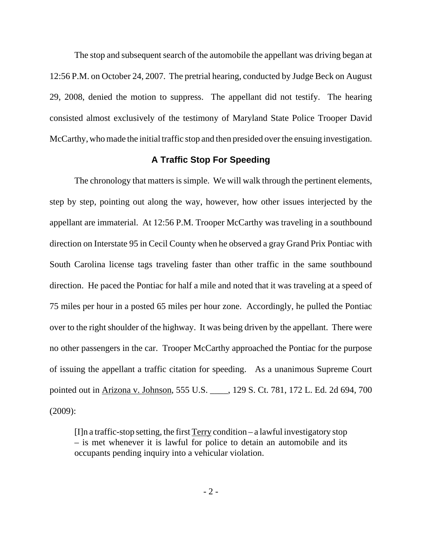The stop and subsequent search of the automobile the appellant was driving began at 12:56 P.M. on October 24, 2007. The pretrial hearing, conducted by Judge Beck on August 29, 2008, denied the motion to suppress. The appellant did not testify. The hearing consisted almost exclusively of the testimony of Maryland State Police Trooper David McCarthy, who made the initial traffic stop and then presided over the ensuing investigation.

### **A Traffic Stop For Speeding**

The chronology that matters is simple. We will walk through the pertinent elements, step by step, pointing out along the way, however, how other issues interjected by the appellant are immaterial. At 12:56 P.M. Trooper McCarthy was traveling in a southbound direction on Interstate 95 in Cecil County when he observed a gray Grand Prix Pontiac with South Carolina license tags traveling faster than other traffic in the same southbound direction. He paced the Pontiac for half a mile and noted that it was traveling at a speed of 75 miles per hour in a posted 65 miles per hour zone. Accordingly, he pulled the Pontiac over to the right shoulder of the highway. It was being driven by the appellant. There were no other passengers in the car. Trooper McCarthy approached the Pontiac for the purpose of issuing the appellant a traffic citation for speeding. As a unanimous Supreme Court pointed out in Arizona v. Johnson, 555 U.S. \_\_\_\_, 129 S. Ct. 781, 172 L. Ed. 2d 694, 700 (2009):

 $[I]$ n a traffic-stop setting, the first  $T$ erry condition – a lawful investigatory stop – is met whenever it is lawful for police to detain an automobile and its occupants pending inquiry into a vehicular violation.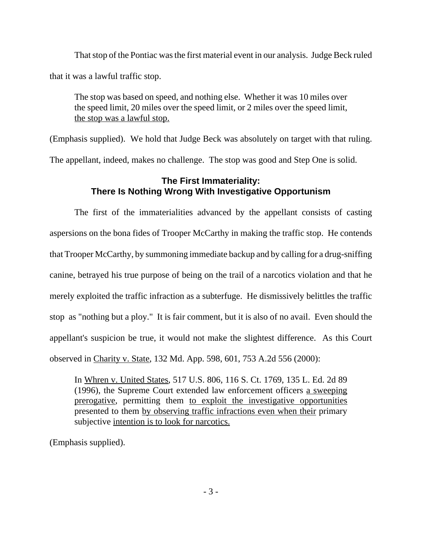That stop of the Pontiac was the first material event in our analysis. Judge Beck ruled that it was a lawful traffic stop.

The stop was based on speed, and nothing else. Whether it was 10 miles over the speed limit, 20 miles over the speed limit, or 2 miles over the speed limit, the stop was a lawful stop.

(Emphasis supplied). We hold that Judge Beck was absolutely on target with that ruling. The appellant, indeed, makes no challenge. The stop was good and Step One is solid.

## **The First Immateriality: There Is Nothing Wrong With Investigative Opportunism**

The first of the immaterialities advanced by the appellant consists of casting aspersions on the bona fides of Trooper McCarthy in making the traffic stop. He contends that Trooper McCarthy, by summoning immediate backup and by calling for a drug-sniffing canine, betrayed his true purpose of being on the trail of a narcotics violation and that he merely exploited the traffic infraction as a subterfuge. He dismissively belittles the traffic stop as "nothing but a ploy." It is fair comment, but it is also of no avail. Even should the appellant's suspicion be true, it would not make the slightest difference. As this Court observed in Charity v. State, 132 Md. App. 598, 601, 753 A.2d 556 (2000):

In Whren v. United States, 517 U.S. 806, 116 S. Ct. 1769, 135 L. Ed. 2d 89 (1996), the Supreme Court extended law enforcement officers a sweeping prerogative, permitting them to exploit the investigative opportunities presented to them by observing traffic infractions even when their primary subjective intention is to look for narcotics.

(Emphasis supplied).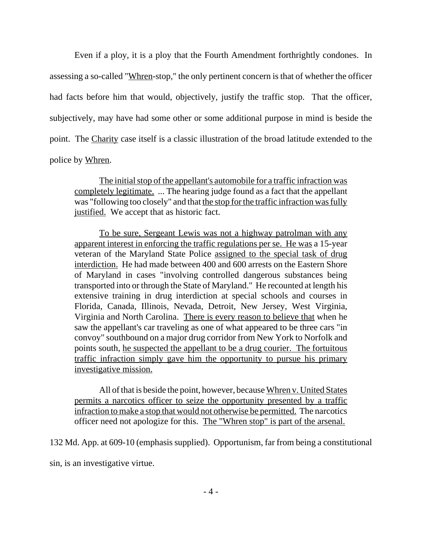Even if a ploy, it is a ploy that the Fourth Amendment forthrightly condones. In assessing a so-called "Whren-stop," the only pertinent concern is that of whether the officer had facts before him that would, objectively, justify the traffic stop. That the officer, subjectively, may have had some other or some additional purpose in mind is beside the point. The Charity case itself is a classic illustration of the broad latitude extended to the police by Whren.

The initial stop of the appellant's automobile for a traffic infraction was completely legitimate. ... The hearing judge found as a fact that the appellant was "following too closely" and that the stop for the traffic infraction was fully justified. We accept that as historic fact.

To be sure, Sergeant Lewis was not a highway patrolman with any apparent interest in enforcing the traffic regulations per se. He was a 15-year veteran of the Maryland State Police assigned to the special task of drug interdiction. He had made between 400 and 600 arrests on the Eastern Shore of Maryland in cases "involving controlled dangerous substances being transported into or through the State of Maryland." He recounted at length his extensive training in drug interdiction at special schools and courses in Florida, Canada, Illinois, Nevada, Detroit, New Jersey, West Virginia, Virginia and North Carolina. There is every reason to believe that when he saw the appellant's car traveling as one of what appeared to be three cars "in convoy" southbound on a major drug corridor from New York to Norfolk and points south, he suspected the appellant to be a drug courier. The fortuitous traffic infraction simply gave him the opportunity to pursue his primary investigative mission.

All of that is beside the point, however, because Whren v. United States permits a narcotics officer to seize the opportunity presented by a traffic infraction to make a stop that would not otherwise be permitted. The narcotics officer need not apologize for this. The "Whren stop" is part of the arsenal.

132 Md. App. at 609-10 (emphasis supplied). Opportunism, far from being a constitutional

sin, is an investigative virtue.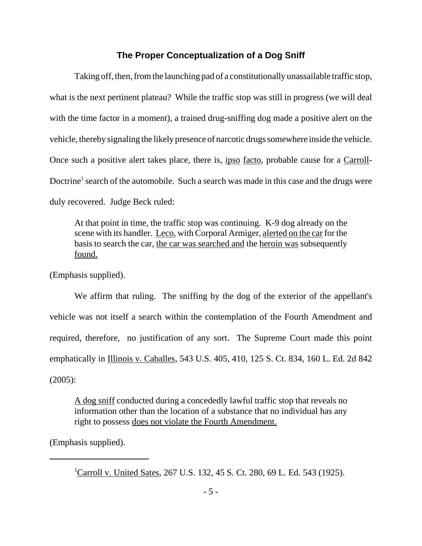### **The Proper Conceptualization of a Dog Sniff**

Taking off, then, from the launching pad of a constitutionally unassailable traffic stop, what is the next pertinent plateau? While the traffic stop was still in progress (we will deal with the time factor in a moment), a trained drug-sniffing dog made a positive alert on the vehicle, thereby signaling the likely presence of narcotic drugs somewhere inside the vehicle. Once such a positive alert takes place, there is, ipso facto, probable cause for a Carroll-Doctrine<sup>1</sup> search of the automobile. Such a search was made in this case and the drugs were duly recovered. Judge Beck ruled:

At that point in time, the traffic stop was continuing. K-9 dog already on the scene with its handler. Leco, with Corporal Armiger, alerted on the car for the basis to search the car, the car was searched and the heroin was subsequently found.

(Emphasis supplied).

We affirm that ruling. The sniffing by the dog of the exterior of the appellant's vehicle was not itself a search within the contemplation of the Fourth Amendment and required, therefore, no justification of any sort. The Supreme Court made this point emphatically in Illinois v. Caballes, 543 U.S. 405, 410, 125 S. Ct. 834, 160 L. Ed. 2d 842 (2005):

A dog sniff conducted during a concededly lawful traffic stop that reveals no information other than the location of a substance that no individual has any right to possess does not violate the Fourth Amendment.

(Emphasis supplied).

<sup>&</sup>lt;sup>1</sup>Carroll v. United Sates, 267 U.S. 132, 45 S. Ct. 280, 69 L. Ed. 543 (1925).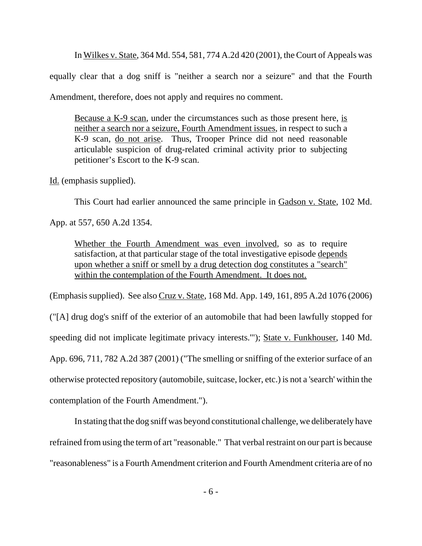In Wilkes v. State, 364 Md. 554, 581, 774 A.2d 420 (2001), the Court of Appeals was equally clear that a dog sniff is "neither a search nor a seizure" and that the Fourth Amendment, therefore, does not apply and requires no comment.

Because a K-9 scan, under the circumstances such as those present here, is neither a search nor a seizure, Fourth Amendment issues, in respect to such a K-9 scan, do not arise. Thus, Trooper Prince did not need reasonable articulable suspicion of drug-related criminal activity prior to subjecting petitioner's Escort to the K-9 scan.

Id. (emphasis supplied).

This Court had earlier announced the same principle in Gadson v. State, 102 Md.

App. at 557, 650 A.2d 1354.

Whether the Fourth Amendment was even involved, so as to require satisfaction, at that particular stage of the total investigative episode depends upon whether a sniff or smell by a drug detection dog constitutes a "search" within the contemplation of the Fourth Amendment. It does not.

(Emphasis supplied). See also Cruz v. State, 168 Md. App. 149, 161, 895 A.2d 1076 (2006)

("[A] drug dog's sniff of the exterior of an automobile that had been lawfully stopped for speeding did not implicate legitimate privacy interests.'"); State v. Funkhouser, 140 Md. App. 696, 711, 782 A.2d 387 (2001) ("The smelling or sniffing of the exterior surface of an otherwise protected repository (automobile, suitcase, locker, etc.) is not a 'search' within the contemplation of the Fourth Amendment.").

In stating that the dog sniff was beyond constitutional challenge, we deliberately have refrained from using the term of art "reasonable." That verbal restraint on our part is because "reasonableness" is a Fourth Amendment criterion and Fourth Amendment criteria are of no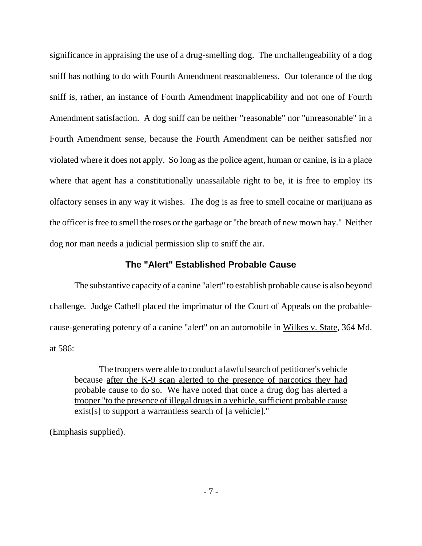significance in appraising the use of a drug-smelling dog. The unchallengeability of a dog sniff has nothing to do with Fourth Amendment reasonableness. Our tolerance of the dog sniff is, rather, an instance of Fourth Amendment inapplicability and not one of Fourth Amendment satisfaction. A dog sniff can be neither "reasonable" nor "unreasonable" in a Fourth Amendment sense, because the Fourth Amendment can be neither satisfied nor violated where it does not apply. So long as the police agent, human or canine, is in a place where that agent has a constitutionally unassailable right to be, it is free to employ its olfactory senses in any way it wishes. The dog is as free to smell cocaine or marijuana as the officer is free to smell the roses or the garbage or "the breath of new mown hay." Neither dog nor man needs a judicial permission slip to sniff the air.

### **The "Alert" Established Probable Cause**

The substantive capacity of a canine "alert" to establish probable cause is also beyond challenge. Judge Cathell placed the imprimatur of the Court of Appeals on the probablecause-generating potency of a canine "alert" on an automobile in Wilkes v. State, 364 Md. at 586:

The troopers were able to conduct a lawful search of petitioner's vehicle because after the K-9 scan alerted to the presence of narcotics they had probable cause to do so. We have noted that once a drug dog has alerted a trooper "to the presence of illegal drugs in a vehicle, sufficient probable cause exist[s] to support a warrantless search of [a vehicle]."

(Emphasis supplied).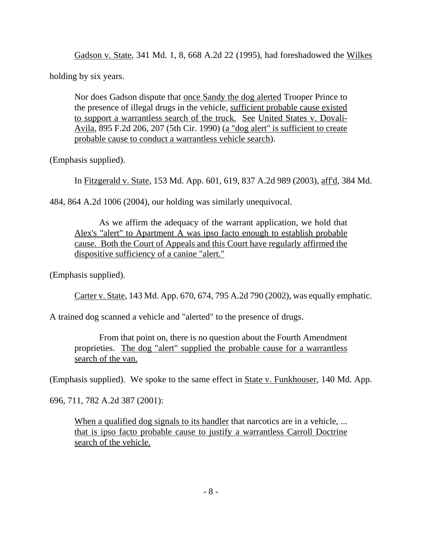Gadson v. State, 341 Md. 1, 8, 668 A.2d 22 (1995), had foreshadowed the Wilkes

holding by six years.

Nor does Gadson dispute that once Sandy the dog alerted Trooper Prince to the presence of illegal drugs in the vehicle, sufficient probable cause existed to support a warrantless search of the truck. See United States v. Dovali-Avila, 895 F.2d 206, 207 (5th Cir. 1990) (a "dog alert" is sufficient to create probable cause to conduct a warrantless vehicle search).

(Emphasis supplied).

In Fitzgerald v. State, 153 Md. App. 601, 619, 837 A.2d 989 (2003), aff'd, 384 Md.

484, 864 A.2d 1006 (2004), our holding was similarly unequivocal.

As we affirm the adequacy of the warrant application, we hold that Alex's "alert" to Apartment A was ipso facto enough to establish probable cause. Both the Court of Appeals and this Court have regularly affirmed the dispositive sufficiency of a canine "alert."

(Emphasis supplied).

Carter v. State, 143 Md. App. 670, 674, 795 A.2d 790 (2002), was equally emphatic.

A trained dog scanned a vehicle and "alerted" to the presence of drugs.

From that point on, there is no question about the Fourth Amendment proprieties. The dog "alert" supplied the probable cause for a warrantless search of the van.

(Emphasis supplied). We spoke to the same effect in State v. Funkhouser, 140 Md. App.

696, 711, 782 A.2d 387 (2001):

When a qualified dog signals to its handler that narcotics are in a vehicle, ... that is ipso facto probable cause to justify a warrantless Carroll Doctrine search of the vehicle.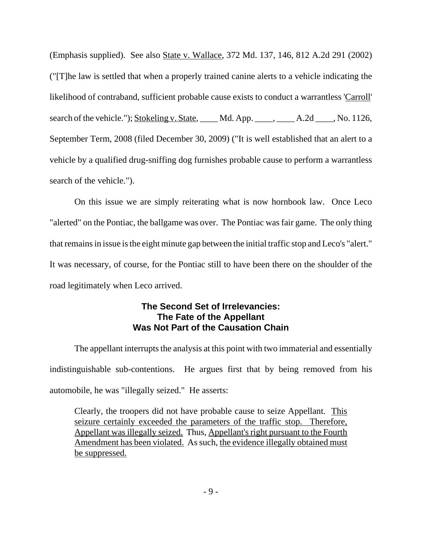(Emphasis supplied). See also State v. Wallace, 372 Md. 137, 146, 812 A.2d 291 (2002) ("[T]he law is settled that when a properly trained canine alerts to a vehicle indicating the likelihood of contraband, sufficient probable cause exists to conduct a warrantless 'Carroll' search of the vehicle."); Stokeling v. State, Md. App. \_\_\_\_, \_\_\_\_, A.2d \_\_\_\_, No. 1126, September Term, 2008 (filed December 30, 2009) ("It is well established that an alert to a vehicle by a qualified drug-sniffing dog furnishes probable cause to perform a warrantless search of the vehicle.").

On this issue we are simply reiterating what is now hornbook law. Once Leco "alerted" on the Pontiac, the ballgame was over. The Pontiac was fair game. The only thing that remains in issue is the eight minute gap between the initial traffic stop and Leco's "alert." It was necessary, of course, for the Pontiac still to have been there on the shoulder of the road legitimately when Leco arrived.

## **The Second Set of Irrelevancies: The Fate of the Appellant Was Not Part of the Causation Chain**

The appellant interrupts the analysis at this point with two immaterial and essentially indistinguishable sub-contentions. He argues first that by being removed from his automobile, he was "illegally seized." He asserts:

Clearly, the troopers did not have probable cause to seize Appellant. This seizure certainly exceeded the parameters of the traffic stop. Therefore, Appellant was illegally seized. Thus, Appellant's right pursuant to the Fourth Amendment has been violated. As such, the evidence illegally obtained must be suppressed.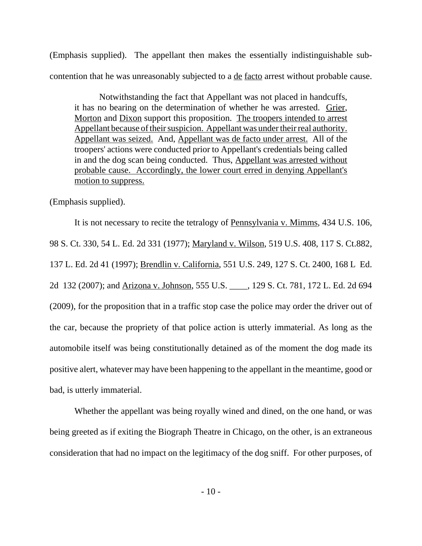(Emphasis supplied). The appellant then makes the essentially indistinguishable subcontention that he was unreasonably subjected to a de facto arrest without probable cause.

Notwithstanding the fact that Appellant was not placed in handcuffs, it has no bearing on the determination of whether he was arrested. Grier, Morton and Dixon support this proposition. The troopers intended to arrest Appellant because of their suspicion. Appellant was under their real authority. Appellant was seized. And, Appellant was de facto under arrest. All of the troopers' actions were conducted prior to Appellant's credentials being called in and the dog scan being conducted. Thus, Appellant was arrested without probable cause. Accordingly, the lower court erred in denying Appellant's motion to suppress.

(Emphasis supplied).

It is not necessary to recite the tetralogy of Pennsylvania v. Mimms, 434 U.S. 106, 98 S. Ct. 330, 54 L. Ed. 2d 331 (1977); Maryland v. Wilson, 519 U.S. 408, 117 S. Ct.882, 137 L. Ed. 2d 41 (1997); Brendlin v. California, 551 U.S. 249, 127 S. Ct. 2400, 168 L Ed. 2d 132 (2007); and Arizona v. Johnson, 555 U.S. \_\_\_\_, 129 S. Ct. 781, 172 L. Ed. 2d 694 (2009), for the proposition that in a traffic stop case the police may order the driver out of the car, because the propriety of that police action is utterly immaterial. As long as the automobile itself was being constitutionally detained as of the moment the dog made its positive alert, whatever may have been happening to the appellant in the meantime, good or bad, is utterly immaterial.

Whether the appellant was being royally wined and dined, on the one hand, or was being greeted as if exiting the Biograph Theatre in Chicago, on the other, is an extraneous consideration that had no impact on the legitimacy of the dog sniff. For other purposes, of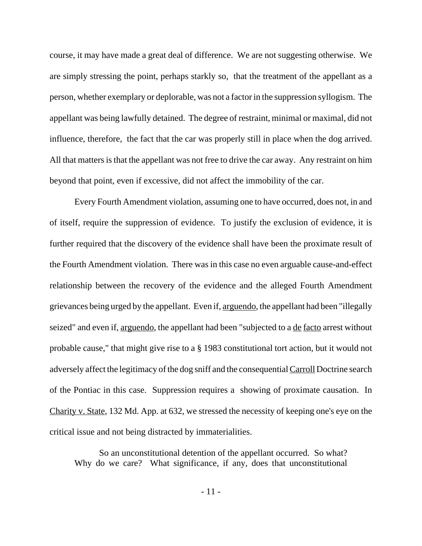course, it may have made a great deal of difference. We are not suggesting otherwise. We are simply stressing the point, perhaps starkly so, that the treatment of the appellant as a person, whether exemplary or deplorable, was not a factor in the suppression syllogism. The appellant was being lawfully detained. The degree of restraint, minimal or maximal, did not influence, therefore, the fact that the car was properly still in place when the dog arrived. All that matters is that the appellant was not free to drive the car away. Any restraint on him beyond that point, even if excessive, did not affect the immobility of the car.

Every Fourth Amendment violation, assuming one to have occurred, does not, in and of itself, require the suppression of evidence. To justify the exclusion of evidence, it is further required that the discovery of the evidence shall have been the proximate result of the Fourth Amendment violation. There was in this case no even arguable cause-and-effect relationship between the recovery of the evidence and the alleged Fourth Amendment grievances being urged by the appellant. Even if, arguendo, the appellant had been "illegally seized" and even if, arguendo, the appellant had been "subjected to a de facto arrest without probable cause," that might give rise to a § 1983 constitutional tort action, but it would not adversely affect the legitimacy of the dog sniff and the consequential Carroll Doctrine search of the Pontiac in this case. Suppression requires a showing of proximate causation. In Charity v. State, 132 Md. App. at 632, we stressed the necessity of keeping one's eye on the critical issue and not being distracted by immaterialities.

So an unconstitutional detention of the appellant occurred. So what? Why do we care? What significance, if any, does that unconstitutional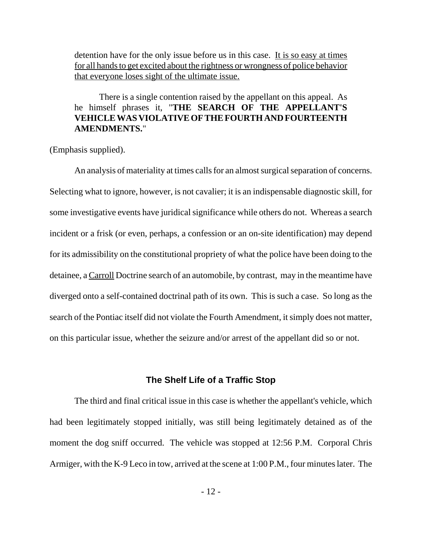detention have for the only issue before us in this case. It is so easy at times for all hands to get excited about the rightness or wrongness of police behavior that everyone loses sight of the ultimate issue.

There is a single contention raised by the appellant on this appeal. As he himself phrases it, "**THE SEARCH OF THE APPELLANT'S VEHICLE WAS VIOLATIVE OF THE FOURTH AND FOURTEENTH AMENDMENTS.**"

(Emphasis supplied).

An analysis of materiality at times calls for an almost surgical separation of concerns. Selecting what to ignore, however, is not cavalier; it is an indispensable diagnostic skill, for some investigative events have juridical significance while others do not. Whereas a search incident or a frisk (or even, perhaps, a confession or an on-site identification) may depend for its admissibility on the constitutional propriety of what the police have been doing to the detainee, a Carroll Doctrine search of an automobile, by contrast, may in the meantime have diverged onto a self-contained doctrinal path of its own. This is such a case. So long as the search of the Pontiac itself did not violate the Fourth Amendment, it simply does not matter, on this particular issue, whether the seizure and/or arrest of the appellant did so or not.

### **The Shelf Life of a Traffic Stop**

The third and final critical issue in this case is whether the appellant's vehicle, which had been legitimately stopped initially, was still being legitimately detained as of the moment the dog sniff occurred. The vehicle was stopped at 12:56 P.M. Corporal Chris Armiger, with the K-9 Leco in tow, arrived at the scene at 1:00 P.M., four minutes later. The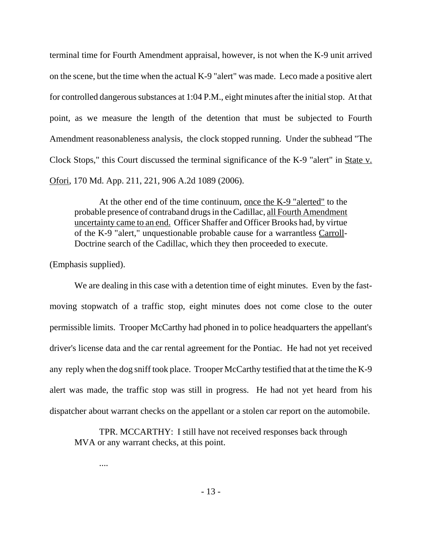terminal time for Fourth Amendment appraisal, however, is not when the K-9 unit arrived on the scene, but the time when the actual K-9 "alert" was made. Leco made a positive alert for controlled dangerous substances at 1:04 P.M., eight minutes after the initial stop. At that point, as we measure the length of the detention that must be subjected to Fourth Amendment reasonableness analysis, the clock stopped running. Under the subhead "The Clock Stops," this Court discussed the terminal significance of the K-9 "alert" in State v. Ofori, 170 Md. App. 211, 221, 906 A.2d 1089 (2006).

At the other end of the time continuum, once the K-9 "alerted" to the probable presence of contraband drugs in the Cadillac, all Fourth Amendment uncertainty came to an end. Officer Shaffer and Officer Brooks had, by virtue of the K-9 "alert," unquestionable probable cause for a warrantless Carroll-Doctrine search of the Cadillac, which they then proceeded to execute.

(Emphasis supplied).

....

We are dealing in this case with a detention time of eight minutes. Even by the fastmoving stopwatch of a traffic stop, eight minutes does not come close to the outer permissible limits. Trooper McCarthy had phoned in to police headquarters the appellant's driver's license data and the car rental agreement for the Pontiac. He had not yet received any reply when the dog sniff took place. Trooper McCarthy testified that at the time the K-9 alert was made, the traffic stop was still in progress. He had not yet heard from his dispatcher about warrant checks on the appellant or a stolen car report on the automobile.

TPR. MCCARTHY: I still have not received responses back through MVA or any warrant checks, at this point.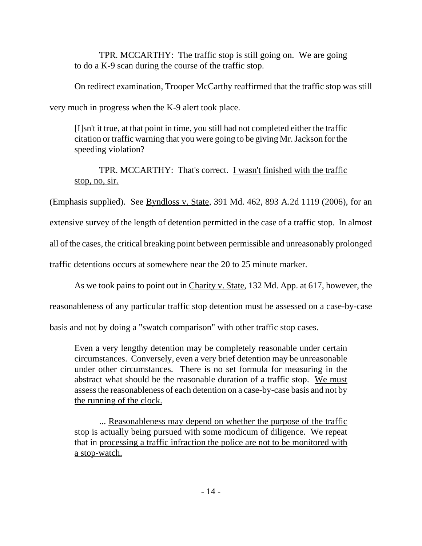TPR. MCCARTHY: The traffic stop is still going on. We are going to do a K-9 scan during the course of the traffic stop.

On redirect examination, Trooper McCarthy reaffirmed that the traffic stop was still

very much in progress when the K-9 alert took place.

[I]sn't it true, at that point in time, you still had not completed either the traffic citation or traffic warning that you were going to be giving Mr. Jackson for the speeding violation?

TPR. MCCARTHY: That's correct. I wasn't finished with the traffic stop, no, sir.

(Emphasis supplied). See  $Byndloss v. State, 391 Md. 462, 893 A.2d 1119 (2006), for an$ 

extensive survey of the length of detention permitted in the case of a traffic stop. In almost

all of the cases, the critical breaking point between permissible and unreasonably prolonged

traffic detentions occurs at somewhere near the 20 to 25 minute marker.

As we took pains to point out in Charity v. State, 132 Md. App. at 617, however, the

reasonableness of any particular traffic stop detention must be assessed on a case-by-case

basis and not by doing a "swatch comparison" with other traffic stop cases.

Even a very lengthy detention may be completely reasonable under certain circumstances. Conversely, even a very brief detention may be unreasonable under other circumstances. There is no set formula for measuring in the abstract what should be the reasonable duration of a traffic stop. We must assess the reasonableness of each detention on a case-by-case basis and not by the running of the clock.

... Reasonableness may depend on whether the purpose of the traffic stop is actually being pursued with some modicum of diligence. We repeat that in processing a traffic infraction the police are not to be monitored with a stop-watch.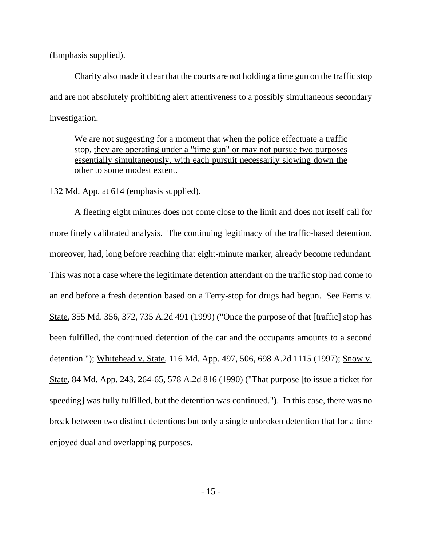(Emphasis supplied).

Charity also made it clear that the courts are not holding a time gun on the traffic stop and are not absolutely prohibiting alert attentiveness to a possibly simultaneous secondary investigation.

We are not suggesting for a moment that when the police effectuate a traffic stop, they are operating under a "time gun" or may not pursue two purposes essentially simultaneously, with each pursuit necessarily slowing down the other to some modest extent.

132 Md. App. at 614 (emphasis supplied).

A fleeting eight minutes does not come close to the limit and does not itself call for more finely calibrated analysis. The continuing legitimacy of the traffic-based detention, moreover, had, long before reaching that eight-minute marker, already become redundant. This was not a case where the legitimate detention attendant on the traffic stop had come to an end before a fresh detention based on a Terry-stop for drugs had begun. See Ferris v. State, 355 Md. 356, 372, 735 A.2d 491 (1999) ("Once the purpose of that [traffic] stop has been fulfilled, the continued detention of the car and the occupants amounts to a second detention."); Whitehead v. State, 116 Md. App. 497, 506, 698 A.2d 1115 (1997); Snow v. State, 84 Md. App. 243, 264-65, 578 A.2d 816 (1990) ("That purpose [to issue a ticket for speeding] was fully fulfilled, but the detention was continued."). In this case, there was no break between two distinct detentions but only a single unbroken detention that for a time enjoyed dual and overlapping purposes.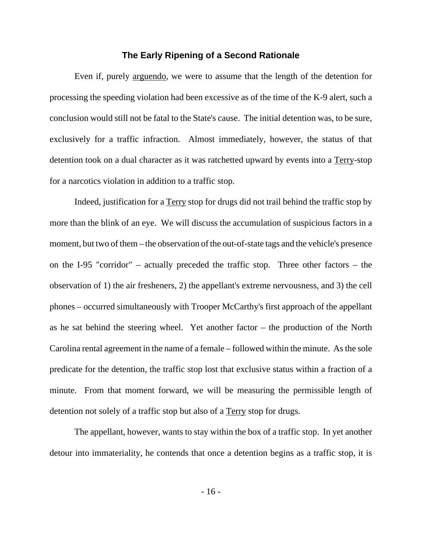#### **The Early Ripening of a Second Rationale**

Even if, purely arguendo, we were to assume that the length of the detention for processing the speeding violation had been excessive as of the time of the K-9 alert, such a conclusion would still not be fatal to the State's cause. The initial detention was, to be sure, exclusively for a traffic infraction. Almost immediately, however, the status of that detention took on a dual character as it was ratchetted upward by events into a Terry-stop for a narcotics violation in addition to a traffic stop.

Indeed, justification for a Terry stop for drugs did not trail behind the traffic stop by more than the blink of an eye. We will discuss the accumulation of suspicious factors in a moment, but two of them – the observation of the out-of-state tags and the vehicle's presence on the I-95 "corridor" – actually preceded the traffic stop. Three other factors – the observation of 1) the air fresheners, 2) the appellant's extreme nervousness, and 3) the cell phones – occurred simultaneously with Trooper McCarthy's first approach of the appellant as he sat behind the steering wheel. Yet another factor – the production of the North Carolina rental agreement in the name of a female – followed within the minute. As the sole predicate for the detention, the traffic stop lost that exclusive status within a fraction of a minute. From that moment forward, we will be measuring the permissible length of detention not solely of a traffic stop but also of a Terry stop for drugs.

The appellant, however, wants to stay within the box of a traffic stop. In yet another detour into immateriality, he contends that once a detention begins as a traffic stop, it is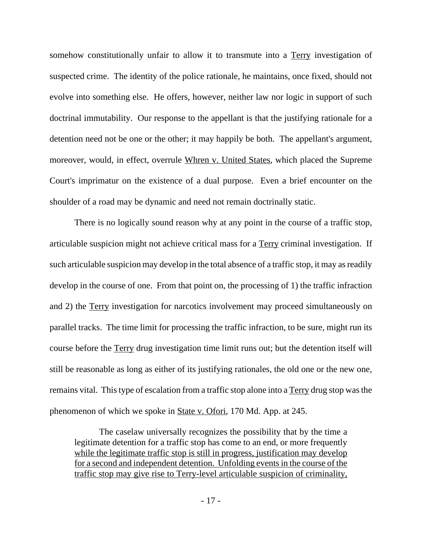somehow constitutionally unfair to allow it to transmute into a Terry investigation of suspected crime. The identity of the police rationale, he maintains, once fixed, should not evolve into something else. He offers, however, neither law nor logic in support of such doctrinal immutability. Our response to the appellant is that the justifying rationale for a detention need not be one or the other; it may happily be both. The appellant's argument, moreover, would, in effect, overrule Whren v. United States, which placed the Supreme Court's imprimatur on the existence of a dual purpose. Even a brief encounter on the shoulder of a road may be dynamic and need not remain doctrinally static.

There is no logically sound reason why at any point in the course of a traffic stop, articulable suspicion might not achieve critical mass for a Terry criminal investigation. If such articulable suspicion may develop in the total absence of a traffic stop, it may as readily develop in the course of one. From that point on, the processing of 1) the traffic infraction and 2) the Terry investigation for narcotics involvement may proceed simultaneously on parallel tracks. The time limit for processing the traffic infraction, to be sure, might run its course before the Terry drug investigation time limit runs out; but the detention itself will still be reasonable as long as either of its justifying rationales, the old one or the new one, remains vital. This type of escalation from a traffic stop alone into a Terry drug stop was the phenomenon of which we spoke in State v. Ofori, 170 Md. App. at 245.

The caselaw universally recognizes the possibility that by the time a legitimate detention for a traffic stop has come to an end, or more frequently while the legitimate traffic stop is still in progress, justification may develop for a second and independent detention. Unfolding events in the course of the traffic stop may give rise to Terry-level articulable suspicion of criminality,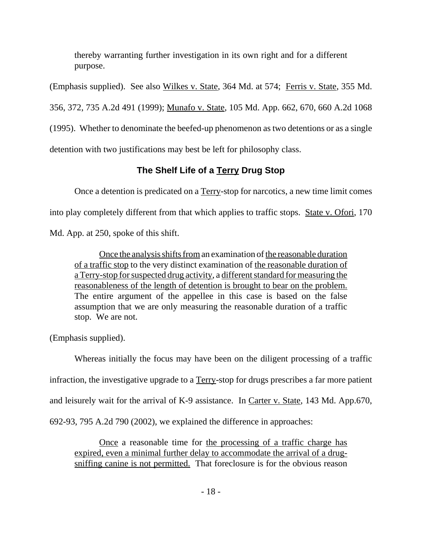thereby warranting further investigation in its own right and for a different purpose.

(Emphasis supplied). See also Wilkes v. State, 364 Md. at 574; Ferris v. State, 355 Md.

356, 372, 735 A.2d 491 (1999); Munafo v. State, 105 Md. App. 662, 670, 660 A.2d 1068

(1995). Whether to denominate the beefed-up phenomenon as two detentions or as a single

detention with two justifications may best be left for philosophy class.

# **The Shelf Life of a Terry Drug Stop**

Once a detention is predicated on a Terry-stop for narcotics, a new time limit comes into play completely different from that which applies to traffic stops. State v. Ofori, 170 Md. App. at 250, spoke of this shift.

Once the analysis shifts from an examination of the reasonable duration of a traffic stop to the very distinct examination of the reasonable duration of a Terry-stop for suspected drug activity, a different standard for measuring the reasonableness of the length of detention is brought to bear on the problem. The entire argument of the appellee in this case is based on the false assumption that we are only measuring the reasonable duration of a traffic stop. We are not.

(Emphasis supplied).

Whereas initially the focus may have been on the diligent processing of a traffic infraction, the investigative upgrade to a Terry-stop for drugs prescribes a far more patient and leisurely wait for the arrival of K-9 assistance. In Carter v. State, 143 Md. App.670, 692-93, 795 A.2d 790 (2002), we explained the difference in approaches:

Once a reasonable time for the processing of a traffic charge has expired, even a minimal further delay to accommodate the arrival of a drugsniffing canine is not permitted. That foreclosure is for the obvious reason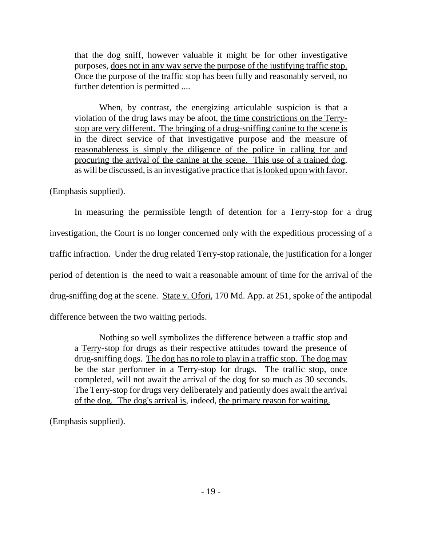that the dog sniff, however valuable it might be for other investigative purposes, does not in any way serve the purpose of the justifying traffic stop. Once the purpose of the traffic stop has been fully and reasonably served, no further detention is permitted ....

When, by contrast, the energizing articulable suspicion is that a violation of the drug laws may be afoot, the time constrictions on the Terrystop are very different. The bringing of a drug-sniffing canine to the scene is in the direct service of that investigative purpose and the measure of reasonableness is simply the diligence of the police in calling for and procuring the arrival of the canine at the scene. This use of a trained dog, as will be discussed, is an investigative practice that is looked upon with favor.

(Emphasis supplied).

In measuring the permissible length of detention for a Terry-stop for a drug investigation, the Court is no longer concerned only with the expeditious processing of a traffic infraction. Under the drug related Terry-stop rationale, the justification for a longer period of detention is the need to wait a reasonable amount of time for the arrival of the drug-sniffing dog at the scene. State v. Ofori, 170 Md. App. at 251, spoke of the antipodal difference between the two waiting periods.

Nothing so well symbolizes the difference between a traffic stop and a Terry-stop for drugs as their respective attitudes toward the presence of drug-sniffing dogs. The dog has no role to play in a traffic stop. The dog may be the star performer in a Terry-stop for drugs. The traffic stop, once completed, will not await the arrival of the dog for so much as 30 seconds. The Terry-stop for drugs very deliberately and patiently does await the arrival of the dog. The dog's arrival is, indeed, the primary reason for waiting.

(Emphasis supplied).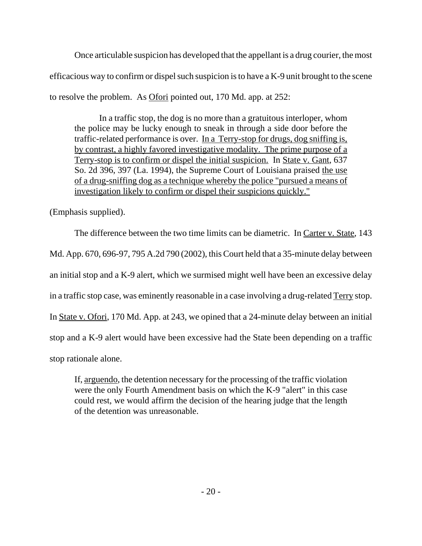Once articulable suspicion has developed that the appellant is a drug courier, the most efficacious way to confirm or dispel such suspicion is to have a K-9 unit brought to the scene to resolve the problem. As Ofori pointed out, 170 Md. app. at 252:

In a traffic stop, the dog is no more than a gratuitous interloper, whom the police may be lucky enough to sneak in through a side door before the traffic-related performance is over. In a Terry-stop for drugs, dog sniffing is, by contrast, a highly favored investigative modality. The prime purpose of a Terry-stop is to confirm or dispel the initial suspicion. In State v. Gant, 637 So. 2d 396, 397 (La. 1994), the Supreme Court of Louisiana praised the use of a drug-sniffing dog as a technique whereby the police "pursued a means of investigation likely to confirm or dispel their suspicions quickly."

(Emphasis supplied).

The difference between the two time limits can be diametric. In Carter v. State, 143 Md. App. 670, 696-97, 795 A.2d 790 (2002), this Court held that a 35-minute delay between an initial stop and a K-9 alert, which we surmised might well have been an excessive delay in a traffic stop case, was eminently reasonable in a case involving a drug-related Terry stop. In State v. Ofori, 170 Md. App. at 243, we opined that a 24-minute delay between an initial stop and a K-9 alert would have been excessive had the State been depending on a traffic stop rationale alone.

If, arguendo, the detention necessary for the processing of the traffic violation were the only Fourth Amendment basis on which the K-9 "alert" in this case could rest, we would affirm the decision of the hearing judge that the length of the detention was unreasonable.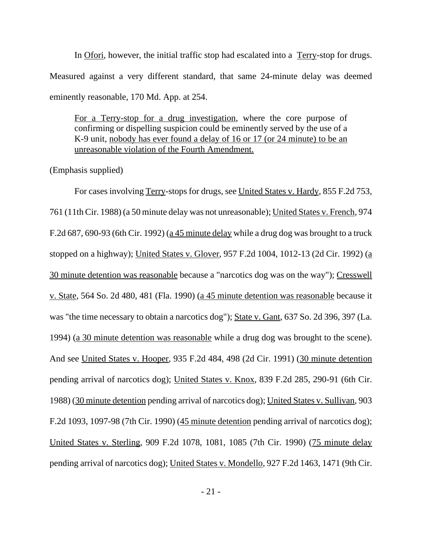In Ofori, however, the initial traffic stop had escalated into a Terry-stop for drugs. Measured against a very different standard, that same 24-minute delay was deemed eminently reasonable, 170 Md. App. at 254.

For a Terry-stop for a drug investigation, where the core purpose of confirming or dispelling suspicion could be eminently served by the use of a K-9 unit, nobody has ever found a delay of 16 or 17 (or 24 minute) to be an unreasonable violation of the Fourth Amendment.

(Emphasis supplied)

For cases involving Terry-stops for drugs, see United States v. Hardy, 855 F.2d 753, 761 (11th Cir. 1988) (a 50 minute delay was not unreasonable); United States v. French, 974 F.2d 687, 690-93 (6th Cir. 1992) (a 45 minute delay while a drug dog was brought to a truck stopped on a highway); United States v. Glover, 957 F.2d 1004, 1012-13 (2d Cir. 1992) (a 30 minute detention was reasonable because a "narcotics dog was on the way"); Cresswell v. State, 564 So. 2d 480, 481 (Fla. 1990) (a 45 minute detention was reasonable because it was "the time necessary to obtain a narcotics dog"); State v. Gant, 637 So. 2d 396, 397 (La. 1994) (a 30 minute detention was reasonable while a drug dog was brought to the scene). And see United States v. Hooper, 935 F.2d 484, 498 (2d Cir. 1991) (30 minute detention pending arrival of narcotics dog); United States v. Knox, 839 F.2d 285, 290-91 (6th Cir. 1988) (30 minute detention pending arrival of narcotics dog); United States v. Sullivan, 903 F.2d 1093, 1097-98 (7th Cir. 1990) (45 minute detention pending arrival of narcotics dog); United States v. Sterling, 909 F.2d 1078, 1081, 1085 (7th Cir. 1990) (75 minute delay pending arrival of narcotics dog); United States v. Mondello, 927 F.2d 1463, 1471 (9th Cir.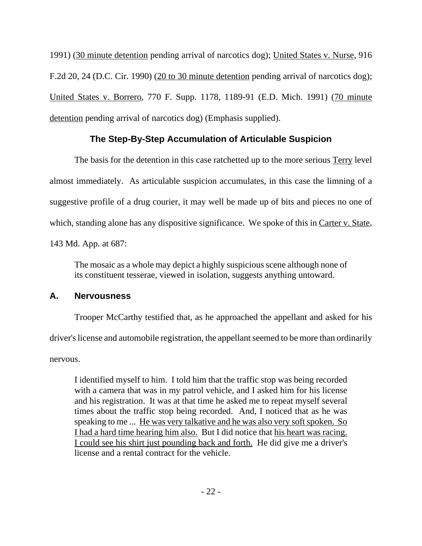1991) (30 minute detention pending arrival of narcotics dog); United States v. Nurse, 916 F.2d 20, 24 (D.C. Cir. 1990) (20 to 30 minute detention pending arrival of narcotics dog); United States v. Borrero, 770 F. Supp. 1178, 1189-91 (E.D. Mich. 1991) (70 minute detention pending arrival of narcotics dog) (Emphasis supplied).

# **The Step-By-Step Accumulation of Articulable Suspicion**

The basis for the detention in this case ratchetted up to the more serious Terry level almost immediately. As articulable suspicion accumulates, in this case the limning of a suggestive profile of a drug courier, it may well be made up of bits and pieces no one of which, standing alone has any dispositive significance. We spoke of this in Carter v. State,

143 Md. App. at 687:

The mosaic as a whole may depict a highly suspicious scene although none of its constituent tesserae, viewed in isolation, suggests anything untoward.

## **A. Nervousness**

Trooper McCarthy testified that, as he approached the appellant and asked for his

driver's license and automobile registration, the appellant seemed to be more than ordinarily

nervous.

I identified myself to him. I told him that the traffic stop was being recorded with a camera that was in my patrol vehicle, and I asked him for his license and his registration. It was at that time he asked me to repeat myself several times about the traffic stop being recorded. And, I noticed that as he was speaking to me ... He was very talkative and he was also very soft spoken. So I had a hard time hearing him also. But I did notice that his heart was racing. I could see his shirt just pounding back and forth. He did give me a driver's license and a rental contract for the vehicle.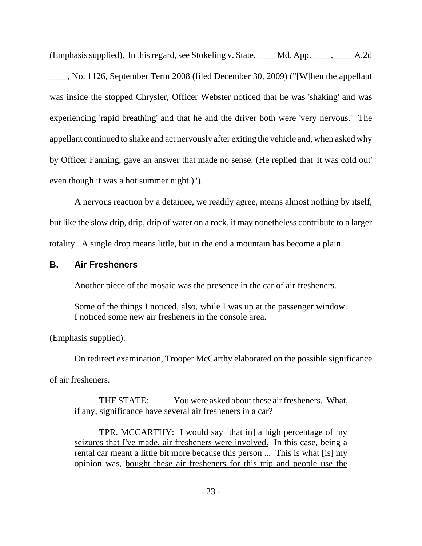(Emphasis supplied). In this regard, see Stokeling v. State, \_\_\_\_ Md. App. \_\_\_\_, \_\_\_\_ A.2d

\_\_\_\_, No. 1126, September Term 2008 (filed December 30, 2009) ("[W]hen the appellant was inside the stopped Chrysler, Officer Webster noticed that he was 'shaking' and was experiencing 'rapid breathing' and that he and the driver both were 'very nervous.' The appellant continued to shake and act nervously after exiting the vehicle and, when asked why by Officer Fanning, gave an answer that made no sense. (He replied that 'it was cold out' even though it was a hot summer night.)").

A nervous reaction by a detainee, we readily agree, means almost nothing by itself, but like the slow drip, drip, drip of water on a rock, it may nonetheless contribute to a larger totality. A single drop means little, but in the end a mountain has become a plain.

## **B. Air Fresheners**

Another piece of the mosaic was the presence in the car of air fresheners.

Some of the things I noticed, also, while I was up at the passenger window. I noticed some new air fresheners in the console area.

(Emphasis supplied).

On redirect examination, Trooper McCarthy elaborated on the possible significance

of air fresheners.

THE STATE: You were asked about these air fresheners. What, if any, significance have several air fresheners in a car?

TPR. MCCARTHY: I would say [that in] a high percentage of my seizures that I've made, air fresheners were involved. In this case, being a rental car meant a little bit more because this person ... This is what [is] my opinion was, bought these air fresheners for this trip and people use the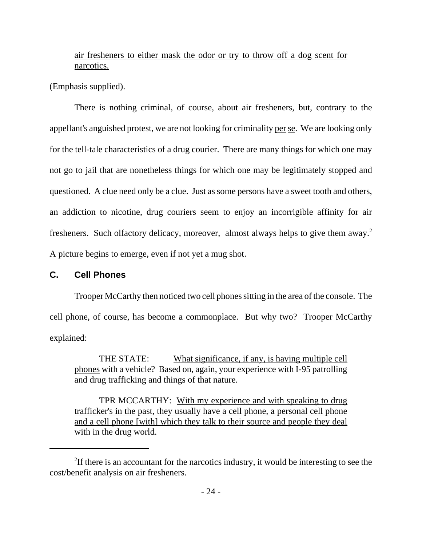## air fresheners to either mask the odor or try to throw off a dog scent for narcotics.

(Emphasis supplied).

There is nothing criminal, of course, about air fresheners, but, contrary to the appellant's anguished protest, we are not looking for criminality per se. We are looking only for the tell-tale characteristics of a drug courier. There are many things for which one may not go to jail that are nonetheless things for which one may be legitimately stopped and questioned. A clue need only be a clue. Just as some persons have a sweet tooth and others, an addiction to nicotine, drug couriers seem to enjoy an incorrigible affinity for air fresheners. Such olfactory delicacy, moreover, almost always helps to give them away.2 A picture begins to emerge, even if not yet a mug shot.

### **C. Cell Phones**

Trooper McCarthy then noticed two cell phones sitting in the area of the console. The cell phone, of course, has become a commonplace. But why two? Trooper McCarthy explained:

THE STATE: What significance, if any, is having multiple cell phones with a vehicle? Based on, again, your experience with I-95 patrolling and drug trafficking and things of that nature.

TPR MCCARTHY: With my experience and with speaking to drug trafficker's in the past, they usually have a cell phone, a personal cell phone and a cell phone [with] which they talk to their source and people they deal with in the drug world.

<sup>&</sup>lt;sup>2</sup>If there is an accountant for the narcotics industry, it would be interesting to see the cost/benefit analysis on air fresheners.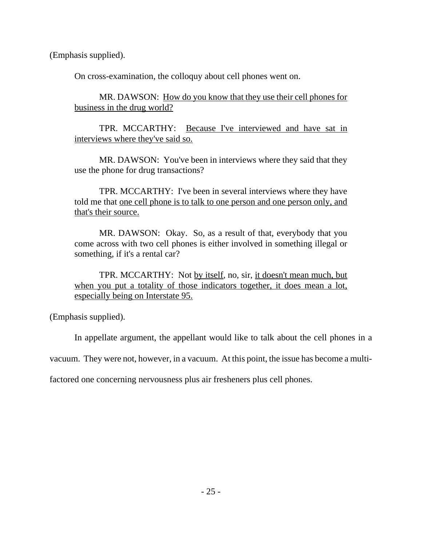(Emphasis supplied).

On cross-examination, the colloquy about cell phones went on.

MR. DAWSON: How do you know that they use their cell phones for business in the drug world?

TPR. MCCARTHY: Because I've interviewed and have sat in interviews where they've said so.

MR. DAWSON: You've been in interviews where they said that they use the phone for drug transactions?

TPR. MCCARTHY: I've been in several interviews where they have told me that one cell phone is to talk to one person and one person only, and that's their source.

MR. DAWSON: Okay. So, as a result of that, everybody that you come across with two cell phones is either involved in something illegal or something, if it's a rental car?

TPR. MCCARTHY: Not by itself, no, sir, it doesn't mean much, but when you put a totality of those indicators together, it does mean a lot, especially being on Interstate 95.

(Emphasis supplied).

In appellate argument, the appellant would like to talk about the cell phones in a

vacuum. They were not, however, in a vacuum. At this point, the issue has become a multi-

factored one concerning nervousness plus air fresheners plus cell phones.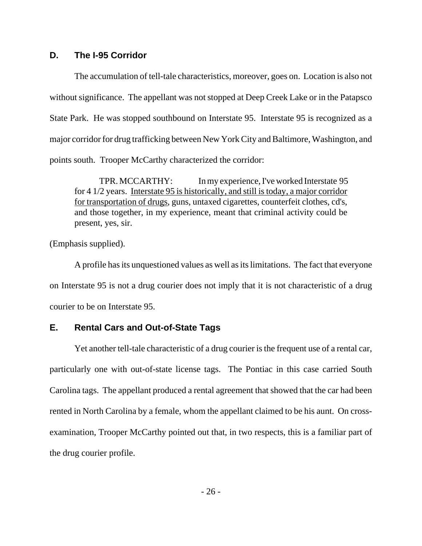### **D. The I-95 Corridor**

The accumulation of tell-tale characteristics, moreover, goes on. Location is also not without significance. The appellant was not stopped at Deep Creek Lake or in the Patapsco State Park. He was stopped southbound on Interstate 95. Interstate 95 is recognized as a major corridor for drug trafficking between New York City and Baltimore, Washington, and points south. Trooper McCarthy characterized the corridor:

TPR. MCCARTHY: In my experience, I've worked Interstate 95 for 4 1/2 years. Interstate 95 is historically, and still is today, a major corridor for transportation of drugs, guns, untaxed cigarettes, counterfeit clothes, cd's, and those together, in my experience, meant that criminal activity could be present, yes, sir.

(Emphasis supplied).

A profile has its unquestioned values as well as its limitations. The fact that everyone on Interstate 95 is not a drug courier does not imply that it is not characteristic of a drug courier to be on Interstate 95.

### **E. Rental Cars and Out-of-State Tags**

Yet another tell-tale characteristic of a drug courier is the frequent use of a rental car, particularly one with out-of-state license tags. The Pontiac in this case carried South Carolina tags. The appellant produced a rental agreement that showed that the car had been rented in North Carolina by a female, whom the appellant claimed to be his aunt. On crossexamination, Trooper McCarthy pointed out that, in two respects, this is a familiar part of the drug courier profile.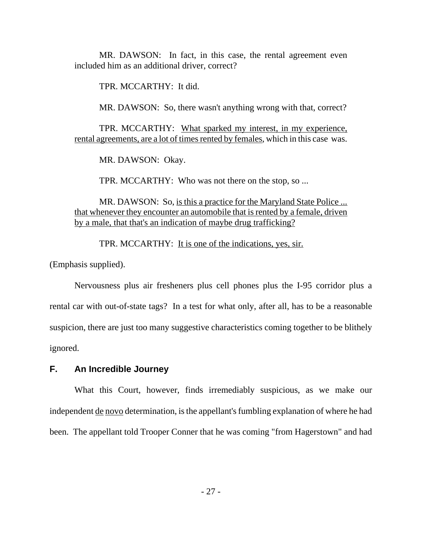MR. DAWSON: In fact, in this case, the rental agreement even included him as an additional driver, correct?

TPR. MCCARTHY: It did.

MR. DAWSON: So, there wasn't anything wrong with that, correct?

TPR. MCCARTHY: What sparked my interest, in my experience, rental agreements, are a lot of times rented by females, which in this case was.

MR. DAWSON: Okay.

TPR. MCCARTHY: Who was not there on the stop, so ...

MR. DAWSON: So, is this a practice for the Maryland State Police ... that whenever they encounter an automobile that is rented by a female, driven by a male, that that's an indication of maybe drug trafficking?

TPR. MCCARTHY: It is one of the indications, yes, sir.

(Emphasis supplied).

Nervousness plus air fresheners plus cell phones plus the I-95 corridor plus a rental car with out-of-state tags? In a test for what only, after all, has to be a reasonable suspicion, there are just too many suggestive characteristics coming together to be blithely ignored.

### **F. An Incredible Journey**

What this Court, however, finds irremediably suspicious, as we make our independent de novo determination, is the appellant's fumbling explanation of where he had been. The appellant told Trooper Conner that he was coming "from Hagerstown" and had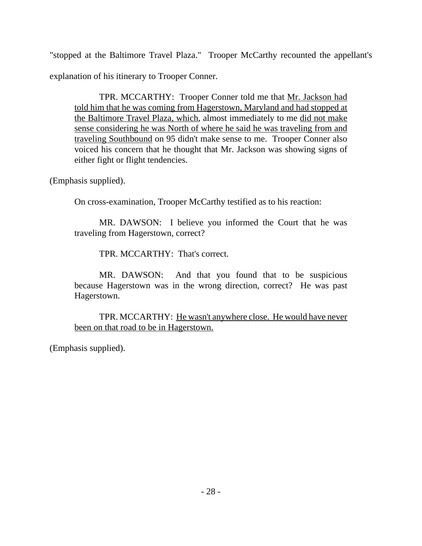"stopped at the Baltimore Travel Plaza." Trooper McCarthy recounted the appellant's explanation of his itinerary to Trooper Conner.

TPR. MCCARTHY: Trooper Conner told me that Mr. Jackson had told him that he was coming from Hagerstown, Maryland and had stopped at the Baltimore Travel Plaza, which, almost immediately to me did not make sense considering he was North of where he said he was traveling from and traveling Southbound on 95 didn't make sense to me. Trooper Conner also voiced his concern that he thought that Mr. Jackson was showing signs of either fight or flight tendencies.

(Emphasis supplied).

On cross-examination, Trooper McCarthy testified as to his reaction:

MR. DAWSON: I believe you informed the Court that he was traveling from Hagerstown, correct?

TPR. MCCARTHY: That's correct.

MR. DAWSON: And that you found that to be suspicious because Hagerstown was in the wrong direction, correct? He was past Hagerstown.

TPR. MCCARTHY: He wasn't anywhere close. He would have never been on that road to be in Hagerstown.

(Emphasis supplied).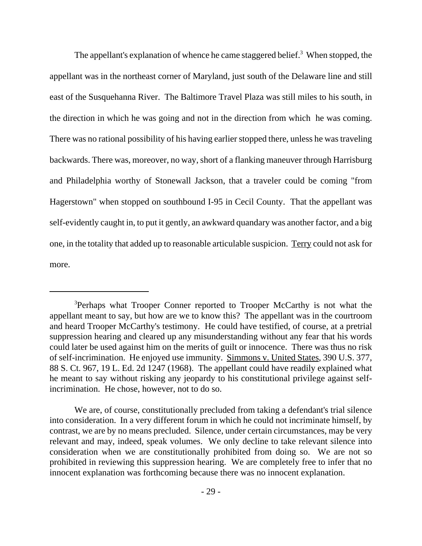The appellant's explanation of whence he came staggered belief.<sup>3</sup> When stopped, the appellant was in the northeast corner of Maryland, just south of the Delaware line and still east of the Susquehanna River. The Baltimore Travel Plaza was still miles to his south, in the direction in which he was going and not in the direction from which he was coming. There was no rational possibility of his having earlier stopped there, unless he was traveling backwards. There was, moreover, no way, short of a flanking maneuver through Harrisburg and Philadelphia worthy of Stonewall Jackson, that a traveler could be coming "from Hagerstown" when stopped on southbound I-95 in Cecil County. That the appellant was self-evidently caught in, to put it gently, an awkward quandary was another factor, and a big one, in the totality that added up to reasonable articulable suspicion. Terry could not ask for more.

<sup>&</sup>lt;sup>3</sup>Perhaps what Trooper Conner reported to Trooper McCarthy is not what the appellant meant to say, but how are we to know this? The appellant was in the courtroom and heard Trooper McCarthy's testimony. He could have testified, of course, at a pretrial suppression hearing and cleared up any misunderstanding without any fear that his words could later be used against him on the merits of guilt or innocence. There was thus no risk of self-incrimination. He enjoyed use immunity. Simmons v. United States, 390 U.S. 377, 88 S. Ct. 967, 19 L. Ed. 2d 1247 (1968). The appellant could have readily explained what he meant to say without risking any jeopardy to his constitutional privilege against selfincrimination. He chose, however, not to do so.

We are, of course, constitutionally precluded from taking a defendant's trial silence into consideration. In a very different forum in which he could not incriminate himself, by contrast, we are by no means precluded. Silence, under certain circumstances, may be very relevant and may, indeed, speak volumes. We only decline to take relevant silence into consideration when we are constitutionally prohibited from doing so. We are not so prohibited in reviewing this suppression hearing. We are completely free to infer that no innocent explanation was forthcoming because there was no innocent explanation.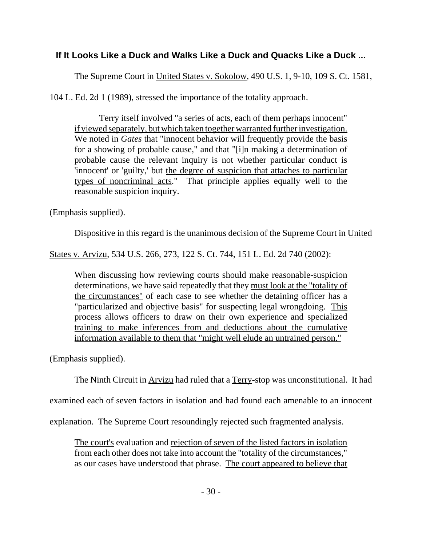## **If It Looks Like a Duck and Walks Like a Duck and Quacks Like a Duck ...**

The Supreme Court in United States v. Sokolow, 490 U.S. 1, 9-10, 109 S. Ct. 1581,

104 L. Ed. 2d 1 (1989), stressed the importance of the totality approach.

Terry itself involved "a series of acts, each of them perhaps innocent" if viewed separately, but which taken together warranted further investigation. We noted in *Gates* that "innocent behavior will frequently provide the basis for a showing of probable cause," and that "[i]n making a determination of probable cause the relevant inquiry is not whether particular conduct is 'innocent' or 'guilty,' but the degree of suspicion that attaches to particular types of noncriminal acts." That principle applies equally well to the reasonable suspicion inquiry.

(Emphasis supplied).

Dispositive in this regard is the unanimous decision of the Supreme Court in United

States v. Arvizu, 534 U.S. 266, 273, 122 S. Ct. 744, 151 L. Ed. 2d 740 (2002):

When discussing how reviewing courts should make reasonable-suspicion determinations, we have said repeatedly that they must look at the "totality of the circumstances" of each case to see whether the detaining officer has a "particularized and objective basis" for suspecting legal wrongdoing. This process allows officers to draw on their own experience and specialized training to make inferences from and deductions about the cumulative information available to them that "might well elude an untrained person."

(Emphasis supplied).

The Ninth Circuit in Arvizu had ruled that a Terry-stop was unconstitutional. It had

examined each of seven factors in isolation and had found each amenable to an innocent

explanation. The Supreme Court resoundingly rejected such fragmented analysis.

The court's evaluation and rejection of seven of the listed factors in isolation from each other does not take into account the "totality of the circumstances," as our cases have understood that phrase. The court appeared to believe that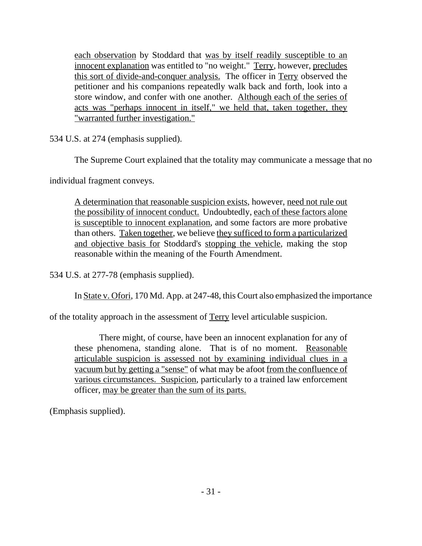each observation by Stoddard that was by itself readily susceptible to an innocent explanation was entitled to "no weight." Terry, however, precludes this sort of divide-and-conquer analysis. The officer in Terry observed the petitioner and his companions repeatedly walk back and forth, look into a store window, and confer with one another. Although each of the series of acts was "perhaps innocent in itself," we held that, taken together, they "warranted further investigation."

534 U.S. at 274 (emphasis supplied).

The Supreme Court explained that the totality may communicate a message that no

individual fragment conveys.

A determination that reasonable suspicion exists, however, need not rule out the possibility of innocent conduct. Undoubtedly, each of these factors alone is susceptible to innocent explanation, and some factors are more probative than others. Taken together, we believe they sufficed to form a particularized and objective basis for Stoddard's stopping the vehicle, making the stop reasonable within the meaning of the Fourth Amendment.

534 U.S. at 277-78 (emphasis supplied).

In State v. Ofori, 170 Md. App. at 247-48, this Court also emphasized the importance

of the totality approach in the assessment of Terry level articulable suspicion.

There might, of course, have been an innocent explanation for any of these phenomena, standing alone. That is of no moment. Reasonable articulable suspicion is assessed not by examining individual clues in a vacuum but by getting a "sense" of what may be afoot from the confluence of various circumstances. Suspicion, particularly to a trained law enforcement officer, may be greater than the sum of its parts.

(Emphasis supplied).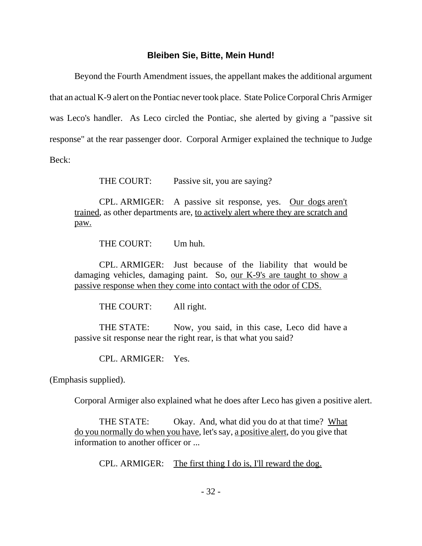### **Bleiben Sie, Bitte, Mein Hund!**

Beyond the Fourth Amendment issues, the appellant makes the additional argument that an actual K-9 alert on the Pontiac never took place. State Police Corporal Chris Armiger was Leco's handler. As Leco circled the Pontiac, she alerted by giving a "passive sit response" at the rear passenger door. Corporal Armiger explained the technique to Judge Beck:

THE COURT: Passive sit, you are saying?

CPL. ARMIGER: A passive sit response, yes. Our dogs aren't trained, as other departments are, to actively alert where they are scratch and paw.

THE COURT: Um huh.

CPL. ARMIGER: Just because of the liability that would be damaging vehicles, damaging paint. So, our K-9's are taught to show a passive response when they come into contact with the odor of CDS.

THE COURT: All right.

THE STATE: Now, you said, in this case, Leco did have a passive sit response near the right rear, is that what you said?

CPL. ARMIGER: Yes.

(Emphasis supplied).

Corporal Armiger also explained what he does after Leco has given a positive alert.

THE STATE: Okay. And, what did you do at that time? What do you normally do when you have, let's say, a positive alert, do you give that information to another officer or ...

CPL. ARMIGER: The first thing I do is, I'll reward the dog.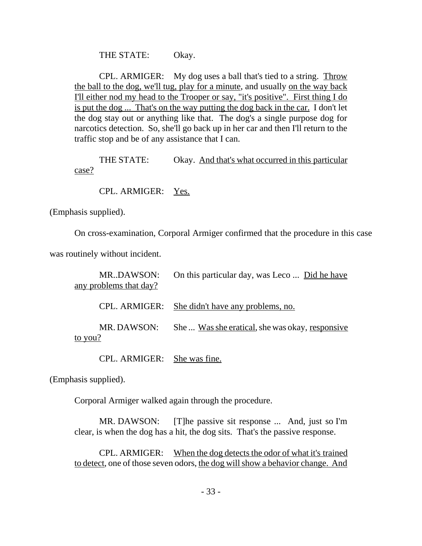THE STATE: Okay.

CPL. ARMIGER: My dog uses a ball that's tied to a string. Throw the ball to the dog, we'll tug, play for a minute, and usually on the way back I'll either nod my head to the Trooper or say, "it's positive". First thing I do is put the dog ... That's on the way putting the dog back in the car. I don't let the dog stay out or anything like that. The dog's a single purpose dog for narcotics detection. So, she'll go back up in her car and then I'll return to the traffic stop and be of any assistance that I can.

THE STATE: Okay. And that's what occurred in this particular case?

CPL. ARMIGER: Yes.

(Emphasis supplied).

On cross-examination, Corporal Armiger confirmed that the procedure in this case

was routinely without incident.

| MR.DAWSON:<br>any problems that day? | On this particular day, was Leco  Did he have   |
|--------------------------------------|-------------------------------------------------|
|                                      | CPL. ARMIGER: She didn't have any problems, no. |
| MR. DAWSON:<br>to you?               | She  Was she eratical, she was okay, responsive |

CPL. ARMIGER: She was fine.

(Emphasis supplied).

Corporal Armiger walked again through the procedure.

MR. DAWSON: [T]he passive sit response ... And, just so I'm clear, is when the dog has a hit, the dog sits. That's the passive response.

CPL. ARMIGER: When the dog detects the odor of what it's trained to detect, one of those seven odors, the dog will show a behavior change. And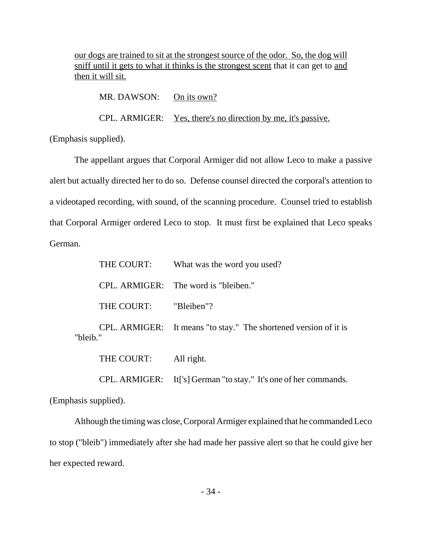our dogs are trained to sit at the strongest source of the odor. So, the dog will sniff until it gets to what it thinks is the strongest scent that it can get to and then it will sit.

MR. DAWSON: On its own? CPL. ARMIGER: Yes, there's no direction by me, it's passive. (Emphasis supplied).

The appellant argues that Corporal Armiger did not allow Leco to make a passive alert but actually directed her to do so. Defense counsel directed the corporal's attention to a videotaped recording, with sound, of the scanning procedure. Counsel tried to establish that Corporal Armiger ordered Leco to stop. It must first be explained that Leco speaks German.

|          | THE COURT:            | What was the word you used?                                      |
|----------|-----------------------|------------------------------------------------------------------|
|          |                       | CPL. ARMIGER: The word is "bleiben."                             |
|          | THE COURT: "Bleiben"? |                                                                  |
| "bleib." |                       | CPL. ARMIGER: It means "to stay." The shortened version of it is |
|          | THE COURT:            | All right.                                                       |

CPL. ARMIGER: It['s] German "to stay." It's one of her commands.

(Emphasis supplied).

Although the timing was close, Corporal Armiger explained that he commanded Leco to stop ("bleib") immediately after she had made her passive alert so that he could give her her expected reward.